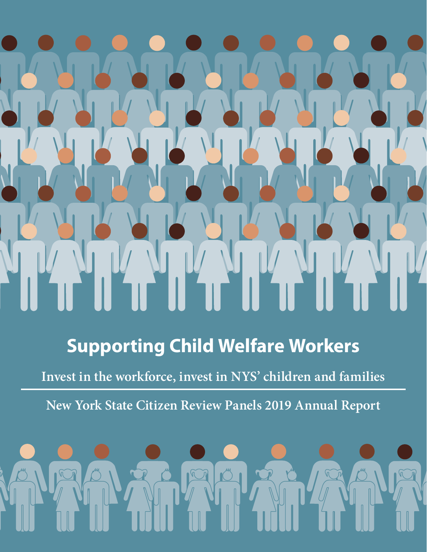# **Supporting Child Welfare Workers**

**Invest in the workforce, invest in NYS' children and families**

**New York State Citizen Review Panels 2019 Annual Report**

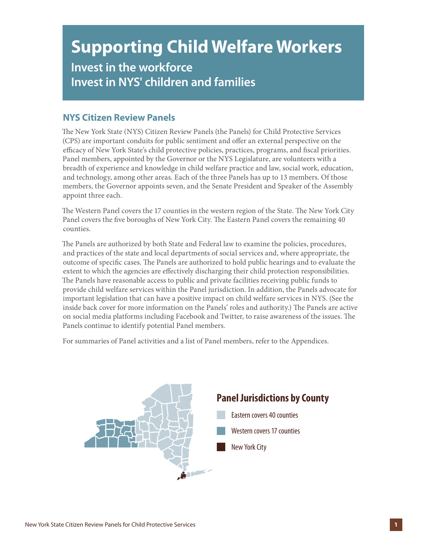## **Supporting Child Welfare Workers Invest in the workforce Invest in NYS' children and families**

#### **NYS Citizen Review Panels**

The New York State (NYS) Citizen Review Panels (the Panels) for Child Protective Services (CPS) are important conduits for public sentiment and offer an external perspective on the efficacy of New York State's child protective policies, practices, programs, and fiscal priorities. Panel members, appointed by the Governor or the NYS Legislature, are volunteers with a breadth of experience and knowledge in child welfare practice and law, social work, education, and technology, among other areas. Each of the three Panels has up to 13 members. Of those members, the Governor appoints seven, and the Senate President and Speaker of the Assembly appoint three each.

The Western Panel covers the 17 counties in the western region of the State. The New York City Panel covers the five boroughs of New York City. The Eastern Panel covers the remaining 40 counties.

The Panels are authorized by both State and Federal law to examine the policies, procedures, and practices of the state and local departments of social services and, where appropriate, the outcome of specific cases. The Panels are authorized to hold public hearings and to evaluate the extent to which the agencies are effectively discharging their child protection responsibilities. The Panels have reasonable access to public and private facilities receiving public funds to provide child welfare services within the Panel jurisdiction. In addition, the Panels advocate for important legislation that can have a positive impact on child welfare services in NYS. (See the inside back cover for more information on the Panels' roles and authority.) The Panels are active on social media platforms including Facebook and Twitter, to raise awareness of the issues. The Panels continue to identify potential Panel members.

For summaries of Panel activities and a list of Panel members, refer to the Appendices.

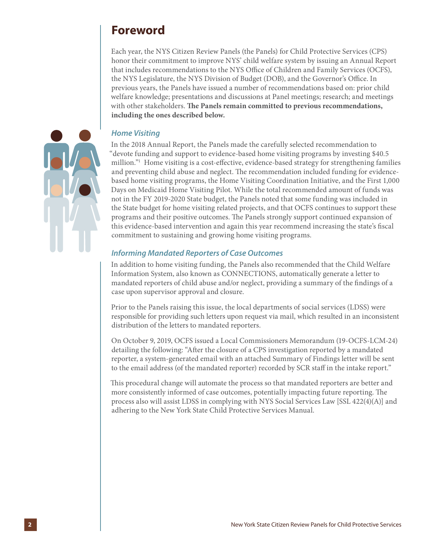### **Foreword**

Each year, the NYS Citizen Review Panels (the Panels) for Child Protective Services (CPS) honor their commitment to improve NYS' child welfare system by issuing an Annual Report that includes recommendations to the NYS Office of Children and Family Services (OCFS), the NYS Legislature, the NYS Division of Budget (DOB), and the Governor's Office. In previous years, the Panels have issued a number of recommendations based on: prior child welfare knowledge; presentations and discussions at Panel meetings; research; and meetings with other stakeholders. **The Panels remain committed to previous recommendations, including the ones described below.**



#### *Home Visiting*

In the 2018 Annual Report, the Panels made the carefully selected recommendation to "devote funding and support to evidence-based home visiting programs by investing \$40.5 million."1 Home visiting is a cost-effective, evidence-based strategy for strengthening families and preventing child abuse and neglect. The recommendation included funding for evidencebased home visiting programs, the Home Visiting Coordination Initiative, and the First 1,000 Days on Medicaid Home Visiting Pilot. While the total recommended amount of funds was not in the FY 2019-2020 State budget, the Panels noted that some funding was included in the State budget for home visiting related projects, and that OCFS continues to support these programs and their positive outcomes. The Panels strongly support continued expansion of this evidence-based intervention and again this year recommend increasing the state's fiscal commitment to sustaining and growing home visiting programs.

#### *Informing Mandated Reporters of Case Outcomes*

In addition to home visiting funding, the Panels also recommended that the Child Welfare Information System, also known as CONNECTIONS, automatically generate a letter to mandated reporters of child abuse and/or neglect, providing a summary of the findings of a case upon supervisor approval and closure.

Prior to the Panels raising this issue, the local departments of social services (LDSS) were responsible for providing such letters upon request via mail, which resulted in an inconsistent distribution of the letters to mandated reporters.

On October 9, 2019, OCFS issued a Local Commissioners Memorandum (19-OCFS-LCM-24) detailing the following: "After the closure of a CPS investigation reported by a mandated reporter, a system-generated email with an attached Summary of Findings letter will be sent to the email address (of the mandated reporter) recorded by SCR staff in the intake report."

This procedural change will automate the process so that mandated reporters are better and more consistently informed of case outcomes, potentially impacting future reporting. The process also will assist LDSS in complying with NYS Social Services Law [SSL 422(4)(A)] and adhering to the New York State Child Protective Services Manual.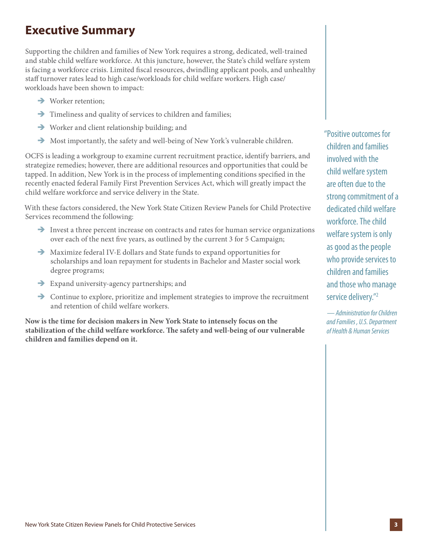### **Executive Summary**

Supporting the children and families of New York requires a strong, dedicated, well-trained and stable child welfare workforce. At this juncture, however, the State's child welfare system is facing a workforce crisis. Limited fiscal resources, dwindling applicant pools, and unhealthy staff turnover rates lead to high case/workloads for child welfare workers. High case/ workloads have been shown to impact:

- $\rightarrow$  Worker retention;
- $\rightarrow$  Timeliness and quality of services to children and families;
- $\rightarrow$  Worker and client relationship building; and
- $\rightarrow$  Most importantly, the safety and well-being of New York's vulnerable children.

OCFS is leading a workgroup to examine current recruitment practice, identify barriers, and strategize remedies; however, there are additional resources and opportunities that could be tapped. In addition, New York is in the process of implementing conditions specified in the recently enacted federal Family First Prevention Services Act, which will greatly impact the child welfare workforce and service delivery in the State.

With these factors considered, the New York State Citizen Review Panels for Child Protective Services recommend the following:

- $\rightarrow$  Invest a three percent increase on contracts and rates for human service organizations over each of the next five years, as outlined by the current 3 for 5 Campaign;
- $\rightarrow$  Maximize federal IV-E dollars and State funds to expand opportunities for scholarships and loan repayment for students in Bachelor and Master social work degree programs;
- $\rightarrow$  Expand university-agency partnerships; and
- $\rightarrow$  Continue to explore, prioritize and implement strategies to improve the recruitment and retention of child welfare workers.

**Now is the time for decision makers in New York State to intensely focus on the stabilization of the child welfare workforce. The safety and well-being of our vulnerable children and families depend on it.**

"Positive outcomes for children and families involved with the child welfare system are often due to the strong commitment of a dedicated child welfare workforce. The child welfare system is only as good as the people who provide services to children and families and those who manage service delivery."2

*— Administration for Children and Families , U.S. Department of Health & Human Services*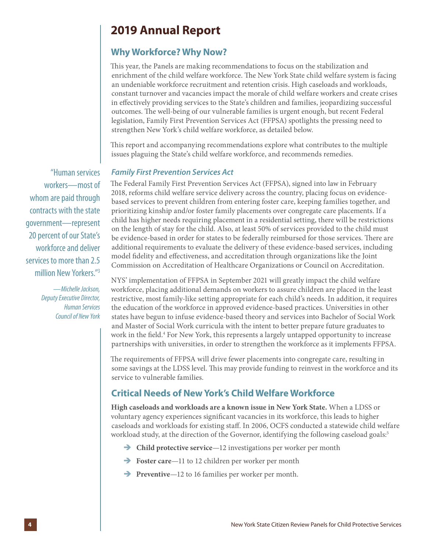### **2019 Annual Report**

### **Why Workforce? Why Now?**

This year, the Panels are making recommendations to focus on the stabilization and enrichment of the child welfare workforce. The New York State child welfare system is facing an undeniable workforce recruitment and retention crisis. High caseloads and workloads, constant turnover and vacancies impact the morale of child welfare workers and create crises in effectively providing services to the State's children and families, jeopardizing successful outcomes. The well-being of our vulnerable families is urgent enough, but recent Federal legislation, Family First Prevention Services Act (FFPSA) spotlights the pressing need to strengthen New York's child welfare workforce, as detailed below.

This report and accompanying recommendations explore what contributes to the multiple issues plaguing the State's child welfare workforce, and recommends remedies.

#### *Family First Prevention Services Act*

The Federal Family First Prevention Services Act (FFPSA), signed into law in February 2018, reforms child welfare service delivery across the country, placing focus on evidencebased services to prevent children from entering foster care, keeping families together, and prioritizing kinship and/or foster family placements over congregate care placements. If a child has higher needs requiring placement in a residential setting, there will be restrictions on the length of stay for the child. Also, at least 50% of services provided to the child must be evidence-based in order for states to be federally reimbursed for those services. There are additional requirements to evaluate the delivery of these evidence-based services, including model fidelity and effectiveness, and accreditation through organizations like the Joint Commission on Accreditation of Healthcare Organizations or Council on Accreditation.

NYS' implementation of FFPSA in September 2021 will greatly impact the child welfare workforce, placing additional demands on workers to assure children are placed in the least restrictive, most family-like setting appropriate for each child's needs. In addition, it requires the education of the workforce in approved evidence-based practices. Universities in other states have begun to infuse evidence-based theory and services into Bachelor of Social Work and Master of Social Work curricula with the intent to better prepare future graduates to work in the field.<sup>4</sup> For New York, this represents a largely untapped opportunity to increase partnerships with universities, in order to strengthen the workforce as it implements FFPSA.

The requirements of FFPSA will drive fewer placements into congregate care, resulting in some savings at the LDSS level. This may provide funding to reinvest in the workforce and its service to vulnerable families.

#### **Critical Needs of New York's Child Welfare Workforce**

**High caseloads and workloads are a known issue in New York State.** When a LDSS or voluntary agency experiences significant vacancies in its workforce, this leads to higher caseloads and workloads for existing staff. In 2006, OCFS conducted a statewide child welfare workload study, at the direction of the Governor, identifying the following caseload goals:<sup>5</sup>

- **→** Child protective service—12 investigations per worker per month
- **Foster care**—11 to 12 children per worker per month
- **Preventive**—12 to 16 families per worker per month.

"Human services workers—most of whom are paid through contracts with the state government—represent 20 percent of our State's workforce and deliver services to more than 2.5 million New Yorkers."3

> *—Michelle Jackson, Deputy Executive Director, Human Services Council of New York*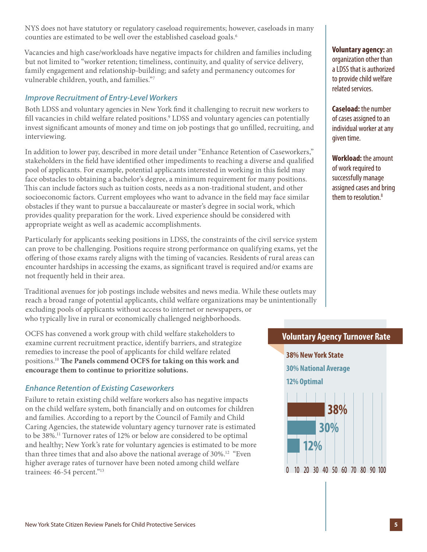NYS does not have statutory or regulatory caseload requirements; however, caseloads in many counties are estimated to be well over the established caseload goals.<sup>6</sup>

Vacancies and high case/workloads have negative impacts for children and families including but not limited to "worker retention; timeliness, continuity, and quality of service delivery, family engagement and relationship-building; and safety and permanency outcomes for vulnerable children, youth, and families."7

#### *Improve Recruitment of Entry-Level Workers*

Both LDSS and voluntary agencies in New York find it challenging to recruit new workers to fill vacancies in child welfare related positions.<sup>9</sup> LDSS and voluntary agencies can potentially invest significant amounts of money and time on job postings that go unfilled, recruiting, and interviewing.

In addition to lower pay, described in more detail under "Enhance Retention of Caseworkers," stakeholders in the field have identified other impediments to reaching a diverse and qualified pool of applicants. For example, potential applicants interested in working in this field may face obstacles to obtaining a bachelor's degree, a minimum requirement for many positions. This can include factors such as tuition costs, needs as a non-traditional student, and other socioeconomic factors. Current employees who want to advance in the field may face similar obstacles if they want to pursue a baccalaureate or master's degree in social work, which provides quality preparation for the work. Lived experience should be considered with appropriate weight as well as academic accomplishments.

Particularly for applicants seeking positions in LDSS, the constraints of the civil service system can prove to be challenging. Positions require strong performance on qualifying exams, yet the offering of those exams rarely aligns with the timing of vacancies. Residents of rural areas can encounter hardships in accessing the exams, as significant travel is required and/or exams are not frequently held in their area.

Traditional avenues for job postings include websites and news media. While these outlets may reach a broad range of potential applicants, child welfare organizations may be unintentionally excluding pools of applicants without access to internet or newspapers, or who typically live in rural or economically challenged neighborhoods.

OCFS has convened a work group with child welfare stakeholders to examine current recruitment practice, identify barriers, and strategize remedies to increase the pool of applicants for child welfare related positions.10 **The Panels commend OCFS for taking on this work and encourage them to continue to prioritize solutions.**

#### *Enhance Retention of Existing Caseworkers*

Failure to retain existing child welfare workers also has negative impacts on the child welfare system, both financially and on outcomes for children and families. According to a report by the Council of Family and Child Caring Agencies, the statewide voluntary agency turnover rate is estimated to be 38%.11 Turnover rates of 12% or below are considered to be optimal and healthy; New York's rate for voluntary agencies is estimated to be more than three times that and also above the national average of 30%.<sup>12</sup> "Even" higher average rates of turnover have been noted among child welfare trainees: 46-54 percent."<sup>13</sup>

**Voluntary agency:** an organization other than a LDSS that is authorized to provide child welfare related services.

**Caseload:** the number of cases assigned to an individual worker at any given time.

**Workload:** the amount of work required to successfully manage assigned cases and bring them to resolution.<sup>8</sup>

#### **Voluntary Agency Turnover Rate**

**38% New York State 30% National Average**

**12% Optimal**

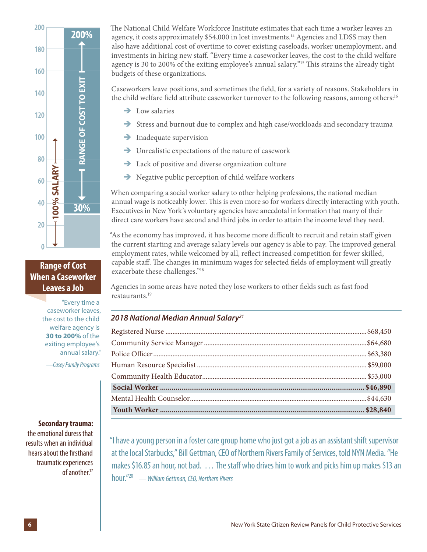

**Range of Cost When a Caseworker** 

> "Every time a caseworker leaves, the cost to the child welfare agency is **30 to 200%** of the exiting employee's annual salary."

-Casey Family Programs

#### **Secondary trauma:**

the emotional duress that results when an individual hears about the firsthand traumatic experiences of another.17

The National Child Welfare Workforce Institute estimates that each time a worker leaves an agency, it costs approximately \$54,000 in lost investments.14 Agencies and LDSS may then also have additional cost of overtime to cover existing caseloads, worker unemployment, and investments in hiring new staff. "Every time a caseworker leaves, the cost to the child welfare agency is 30 to 200% of the exiting employee's annual salary."15 This strains the already tight budgets of these organizations.

Caseworkers leave positions, and sometimes the field, for a variety of reasons. Stakeholders in the child welfare field attribute caseworker turnover to the following reasons, among others:<sup>16</sup>

- $\rightarrow$  Low salaries
- $\rightarrow$  Stress and burnout due to complex and high case/workloads and secondary trauma
- $\rightarrow$  Inadequate supervision
- $\rightarrow$  Unrealistic expectations of the nature of casework
- $\rightarrow$  Lack of positive and diverse organization culture
- $\rightarrow$  Negative public perception of child welfare workers

When comparing a social worker salary to other helping professions, the national median annual wage is noticeably lower. This is even more so for workers directly interacting with youth. Executives in New York's voluntary agencies have anecdotal information that many of their direct care workers have second and third jobs in order to attain the income level they need.

"As the economy has improved, it has become more difficult to recruit and retain staff given the current starting and average salary levels our agency is able to pay. The improved general employment rates, while welcomed by all, reflect increased competition for fewer skilled, capable staff. The changes in minimum wages for selected fields of employment will greatly exacerbate these challenges."18

Agencies in some areas have noted they lose workers to other fields such as fast food restaurants.19

#### *2018 National Median Annual Salary21*

"I have a young person in a foster care group home who just got a job as an assistant shift supervisor at the local Starbucks," Bill Gettman, CEO of Northern Rivers Family of Services, told NYN Media. "He makes \$16.85 an hour, not bad. … The staff who drives him to work and picks him up makes \$13 an hour."20 *— William Gettman, CEO, Northern Rivers*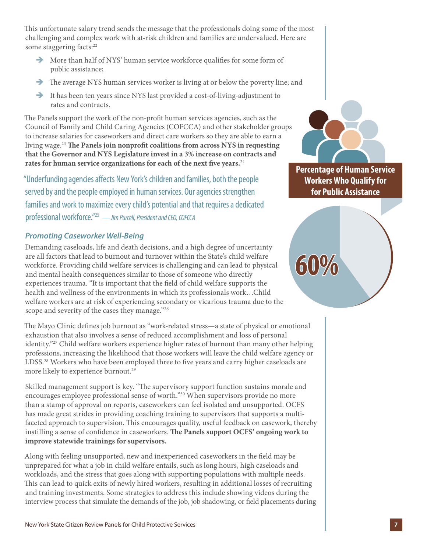This unfortunate salary trend sends the message that the professionals doing some of the most challenging and complex work with at-risk children and families are undervalued. Here are some staggering facts:<sup>22</sup>

- $\rightarrow$  More than half of NYS' human service workforce qualifies for some form of public assistance;
- $\rightarrow$  The average NYS human services worker is living at or below the poverty line; and
- $\rightarrow$  It has been ten years since NYS last provided a cost-of-living-adjustment to rates and contracts.

The Panels support the work of the non-profit human services agencies, such as the Council of Family and Child Caring Agencies (COFCCA) and other stakeholder groups to increase salaries for caseworkers and direct care workers so they are able to earn a living wage.23 **The Panels join nonprofit coalitions from across NYS in requesting that the Governor and NYS Legislature invest in a 3% increase on contracts and rates for human service organizations for each of the next five years.**<sup>24</sup>

"Underfunding agencies affects New York's children and families, both the people served by and the people employed in human services. Our agencies strengthen families and work to maximize every child's potential and that requires a dedicated professional workforce."25 *— Jim Purcell, President and CEO, COFCCA*

#### *Promoting Caseworker Well-Being*

Demanding caseloads, life and death decisions, and a high degree of uncertainty are all factors that lead to burnout and turnover within the State's child welfare workforce. Providing child welfare services is challenging and can lead to physical and mental health consequences similar to those of someone who directly experiences trauma. "It is important that the field of child welfare supports the health and wellness of the environments in which its professionals work…Child welfare workers are at risk of experiencing secondary or vicarious trauma due to the scope and severity of the cases they manage."26

The Mayo Clinic defines job burnout as "work-related stress—a state of physical or emotional exhaustion that also involves a sense of reduced accomplishment and loss of personal identity."27 Child welfare workers experience higher rates of burnout than many other helping professions, increasing the likelihood that those workers will leave the child welfare agency or LDSS.28 Workers who have been employed three to five years and carry higher caseloads are more likely to experience burnout.<sup>29</sup>

Skilled management support is key. "The supervisory support function sustains morale and encourages employee professional sense of worth."30 When supervisors provide no more than a stamp of approval on reports, caseworkers can feel isolated and unsupported. OCFS has made great strides in providing coaching training to supervisors that supports a multifaceted approach to supervision. This encourages quality, useful feedback on casework, thereby instilling a sense of confidence in caseworkers. **The Panels support OCFS' ongoing work to improve statewide trainings for supervisors.**

Along with feeling unsupported, new and inexperienced caseworkers in the field may be unprepared for what a job in child welfare entails, such as long hours, high caseloads and workloads, and the stress that goes along with supporting populations with multiple needs. This can lead to quick exits of newly hired workers, resulting in additional losses of recruiting and training investments. Some strategies to address this include showing videos during the interview process that simulate the demands of the job, job shadowing, or field placements during



**Percentage of Human Service Workers Who Qualify for for Public Assistance**

 $60%$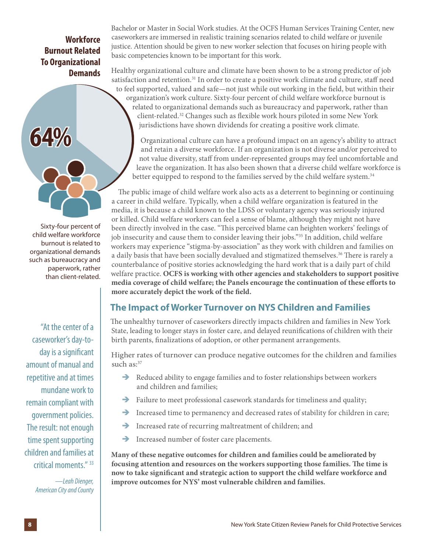#### **Workforce Burnout Related To Organizational Demands**



Sixty-four percent of child welfare workforce burnout is related to organizational demands such as bureaucracy and paperwork, rather than client-related.

"At the center of a caseworker's day-today is a significant amount of manual and repetitive and at times mundane work to remain compliant with government policies. The result: not enough time spent supporting children and families at critical moments." 33

> *—Leah Dienger, American City and County*

Bachelor or Master in Social Work studies. At the OCFS Human Services Training Center, new caseworkers are immersed in realistic training scenarios related to child welfare or juvenile justice. Attention should be given to new worker selection that focuses on hiring people with basic competencies known to be important for this work.

Healthy organizational culture and climate have been shown to be a strong predictor of job satisfaction and retention.<sup>31</sup> In order to create a positive work climate and culture, staff need to feel supported, valued and safe—not just while out working in the field, but within their organization's work culture. Sixty-four percent of child welfare workforce burnout is related to organizational demands such as bureaucracy and paperwork, rather than client-related.32 Changes such as flexible work hours piloted in some New York jurisdictions have shown dividends for creating a positive work climate.

Organizational culture can have a profound impact on an agency's ability to attract and retain a diverse workforce. If an organization is not diverse and/or perceived to not value diversity, staff from under-represented groups may feel uncomfortable and leave the organization. It has also been shown that a diverse child welfare workforce is better equipped to respond to the families served by the child welfare system.<sup>34</sup>

The public image of child welfare work also acts as a deterrent to beginning or continuing a career in child welfare. Typically, when a child welfare organization is featured in the media, it is because a child known to the LDSS or voluntary agency was seriously injured or killed. Child welfare workers can feel a sense of blame, although they might not have been directly involved in the case. "This perceived blame can heighten workers' feelings of job insecurity and cause them to consider leaving their jobs."35 In addition, child welfare workers may experience "stigma-by-association" as they work with children and families on a daily basis that have been socially devalued and stigmatized themselves.<sup>36</sup> There is rarely a counterbalance of positive stories acknowledging the hard work that is a daily part of child welfare practice. **OCFS is working with other agencies and stakeholders to support positive media coverage of child welfare; the Panels encourage the continuation of these efforts to more accurately depict the work of the field.**

### **The Impact of Worker Turnover on NYS Children and Families**

The unhealthy turnover of caseworkers directly impacts children and families in New York State, leading to longer stays in foster care, and delayed reunifications of children with their birth parents, finalizations of adoption, or other permanent arrangements.

Higher rates of turnover can produce negative outcomes for the children and families such as:<sup>37</sup>

- $\rightarrow$  Reduced ability to engage families and to foster relationships between workers and children and families;
- $\rightarrow$  Failure to meet professional casework standards for timeliness and quality;
- $\rightarrow$  Increased time to permanency and decreased rates of stability for children in care;
- $\rightarrow$  Increased rate of recurring maltreatment of children; and
- $\rightarrow$  Increased number of foster care placements.

**Many of these negative outcomes for children and families could be ameliorated by focusing attention and resources on the workers supporting those families. The time is now to take significant and strategic action to support the child welfare workforce and improve outcomes for NYS' most vulnerable children and families.**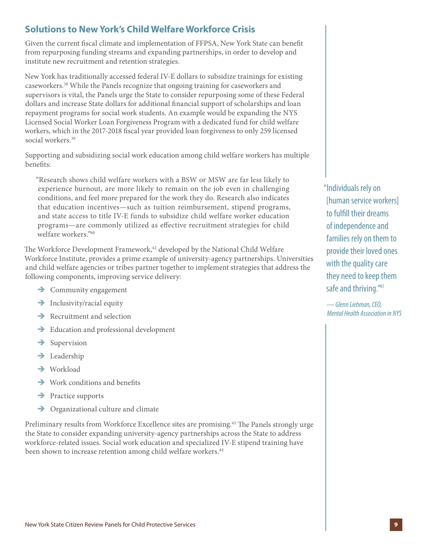### **Solutions to New York's Child Welfare Workforce Crisis**

Given the current fiscal climate and implementation of FFPSA, New York State can benefit from repurposing funding streams and expanding partnerships, in order to develop and institute new recruitment and retention strategies.

New York has traditionally accessed federal IV-E dollars to subsidize trainings for existing caseworkers.38 While the Panels recognize that ongoing training for caseworkers and supervisors is vital, the Panels urge the State to consider repurposing some of these Federal dollars and increase State dollars for additional financial support of scholarships and loan repayment programs for social work students. An example would be expanding the NYS Licensed Social Worker Loan Forgiveness Program with a dedicated fund for child welfare workers, which in the 2017-2018 fiscal year provided loan forgiveness to only 259 licensed social workers.<sup>39</sup>

Supporting and subsidizing social work education among child welfare workers has multiple benefits:

"Research shows child welfare workers with a BSW or MSW are far less likely to experience burnout, are more likely to remain on the job even in challenging conditions, and feel more prepared for the work they do. Research also indicates that education incentives—such as tuition reimbursement, stipend programs, and state access to title IV-E funds to subsidize child welfare worker education programs—are commonly utilized as effective recruitment strategies for child welfare workers."40

The Workforce Development Framework,<sup>42</sup> developed by the National Child Welfare Workforce Institute, provides a prime example of university-agency partnerships. Universities and child welfare agencies or tribes partner together to implement strategies that address the following components, improving service delivery:

- $\rightarrow$  Community engagement
- $\rightarrow$  Inclusivity/racial equity
- $\rightarrow$  Recruitment and selection
- $\rightarrow$  Education and professional development
- $\rightarrow$  Supervision
- $\rightarrow$  Leadership
- $\rightarrow$  Workload
- $\rightarrow$  Work conditions and benefits
- $\rightarrow$  Practice supports
- $\rightarrow$  Organizational culture and climate

Preliminary results from Workforce Excellence sites are promising.43 The Panels strongly urge the State to consider expanding university-agency partnerships across the State to address workforce-related issues. Social work education and specialized IV-E stipend training have been shown to increase retention among child welfare workers.<sup>44</sup>

"Individuals rely on [human service workers] to fulfill their dreams of independence and families rely on them to provide their loved ones with the quality care they need to keep them safe and thriving."<sup>41</sup>

*— Glenn Liebman, CEO, Mental Health Association in NYS*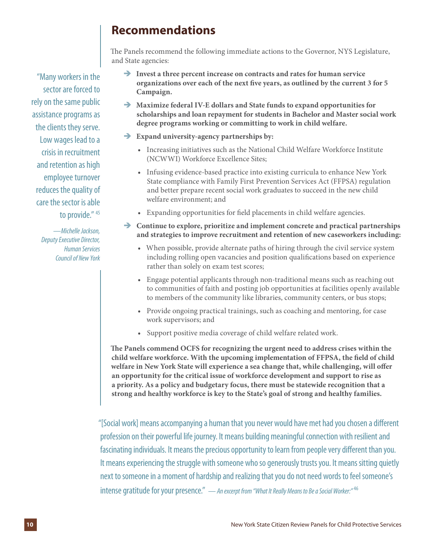### **Recommendations**

The Panels recommend the following immediate actions to the Governor, NYS Legislature, and State agencies:

- $\rightarrow$  Invest a three percent increase on contracts and rates for human service **organizations over each of the next five years, as outlined by the current 3 for 5 Campaign.**
- $\rightarrow$  Maximize federal IV-E dollars and State funds to expand opportunities for **scholarships and loan repayment for students in Bachelor and Master social work degree programs working or committing to work in child welfare.**
- $\rightarrow$  Expand university-agency partnerships by:
	- **•** Increasing initiatives such as the National Child Welfare Workforce Institute (NCWWI) Workforce Excellence Sites;
	- **•** Infusing evidence-based practice into existing curricula to enhance New York State compliance with Family First Prevention Services Act (FFPSA) regulation and better prepare recent social work graduates to succeed in the new child welfare environment; and
	- **•** Expanding opportunities for field placements in child welfare agencies.
- $\rightarrow$  Continue to explore, prioritize and implement concrete and practical partnerships **and strategies to improve recruitment and retention of new caseworkers including:** 
	- **•** When possible, provide alternate paths of hiring through the civil service system including rolling open vacancies and position qualifications based on experience rather than solely on exam test scores;
	- **•** Engage potential applicants through non-traditional means such as reaching out to communities of faith and posting job opportunities at facilities openly available to members of the community like libraries, community centers, or bus stops;
	- **•** Provide ongoing practical trainings, such as coaching and mentoring, for case work supervisors; and
	- **•** Support positive media coverage of child welfare related work.

**The Panels commend OCFS for recognizing the urgent need to address crises within the child welfare workforce. With the upcoming implementation of FFPSA, the field of child welfare in New York State will experience a sea change that, while challenging, will offer an opportunity for the critical issue of workforce development and support to rise as a priority. As a policy and budgetary focus, there must be statewide recognition that a strong and healthy workforce is key to the State's goal of strong and healthy families.** 

"[Social work] means accompanying a human that you never would have met had you chosen a different profession on their powerful life journey. It means building meaningful connection with resilient and fascinating individuals. It means the precious opportunity to learn from people very different than you. It means experiencing the struggle with someone who so generously trusts you. It means sitting quietly next to someone in a moment of hardship and realizing that you do not need words to feel someone's intense gratitude for your presence." — *An excerpt from "What It Really Means to Be a Social Worker:"* <sup>46</sup>

"Many workers in the sector are forced to rely on the same public assistance programs as the clients they serve. Low wages lead to a crisis in recruitment and retention as high employee turnover reduces the quality of care the sector is able to provide." 45

> *—Michelle Jackson, Deputy Executive Director, Human Services Council of New York*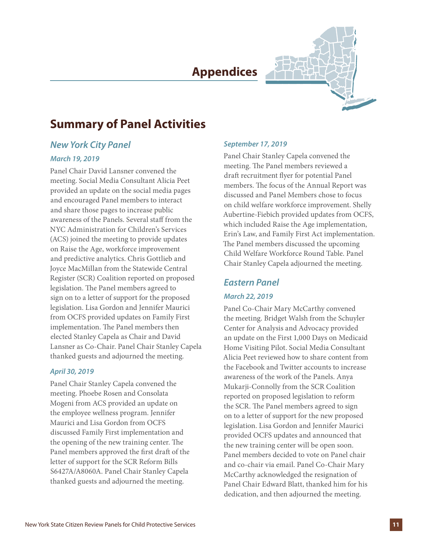### **Appendices**



### **Summary of Panel Activities**

#### *New York City Panel*

#### *March 19, 2019*

Panel Chair David Lansner convened the meeting. Social Media Consultant Alicia Peet provided an update on the social media pages and encouraged Panel members to interact and share those pages to increase public awareness of the Panels. Several staff from the NYC Administration for Children's Services (ACS) joined the meeting to provide updates on Raise the Age, workforce improvement and predictive analytics. Chris Gottlieb and Joyce MacMillan from the Statewide Central Register (SCR) Coalition reported on proposed legislation. The Panel members agreed to sign on to a letter of support for the proposed legislation. Lisa Gordon and Jennifer Maurici from OCFS provided updates on Family First implementation. The Panel members then elected Stanley Capela as Chair and David Lansner as Co-Chair. Panel Chair Stanley Capela thanked guests and adjourned the meeting.

#### *April 30, 2019*

Panel Chair Stanley Capela convened the meeting. Phoebe Rosen and Consolata Mogeni from ACS provided an update on the employee wellness program. Jennifer Maurici and Lisa Gordon from OCFS discussed Family First implementation and the opening of the new training center. The Panel members approved the first draft of the letter of support for the SCR Reform Bills S6427A/A8060A. Panel Chair Stanley Capela thanked guests and adjourned the meeting.

#### *September 17, 2019*

Panel Chair Stanley Capela convened the meeting. The Panel members reviewed a draft recruitment flyer for potential Panel members. The focus of the Annual Report was discussed and Panel Members chose to focus on child welfare workforce improvement. Shelly Aubertine-Fiebich provided updates from OCFS, which included Raise the Age implementation, Erin's Law, and Family First Act implementation. The Panel members discussed the upcoming Child Welfare Workforce Round Table. Panel Chair Stanley Capela adjourned the meeting.

## *Eastern Panel*

#### *March 22, 2019*

Panel Co-Chair Mary McCarthy convened the meeting. Bridget Walsh from the Schuyler Center for Analysis and Advocacy provided an update on the First 1,000 Days on Medicaid Home Visiting Pilot. Social Media Consultant Alicia Peet reviewed how to share content from the Facebook and Twitter accounts to increase awareness of the work of the Panels. Anya Mukarji-Connolly from the SCR Coalition reported on proposed legislation to reform the SCR. The Panel members agreed to sign on to a letter of support for the new proposed legislation. Lisa Gordon and Jennifer Maurici provided OCFS updates and announced that the new training center will be open soon. Panel members decided to vote on Panel chair and co-chair via email. Panel Co-Chair Mary McCarthy acknowledged the resignation of Panel Chair Edward Blatt, thanked him for his dedication, and then adjourned the meeting.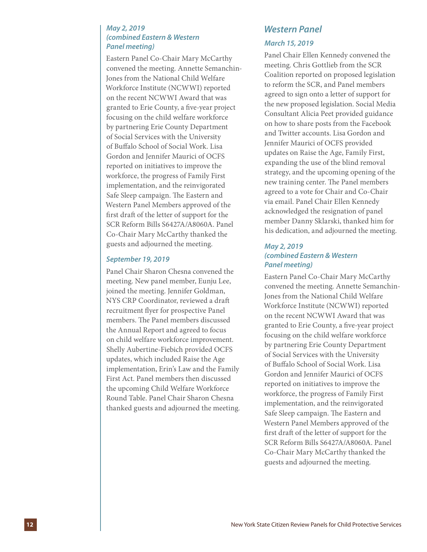#### *May 2, 2019 (combined Eastern & Western Panel meeting)*

Eastern Panel Co-Chair Mary McCarthy convened the meeting. Annette Semanchin-Jones from the National Child Welfare Workforce Institute (NCWWI) reported on the recent NCWWI Award that was granted to Erie County, a five-year project focusing on the child welfare workforce by partnering Erie County Department of Social Services with the University of Buffalo School of Social Work. Lisa Gordon and Jennifer Maurici of OCFS reported on initiatives to improve the workforce, the progress of Family First implementation, and the reinvigorated Safe Sleep campaign. The Eastern and Western Panel Members approved of the first draft of the letter of support for the SCR Reform Bills S6427A/A8060A. Panel Co-Chair Mary McCarthy thanked the guests and adjourned the meeting.

#### *September 19, 2019*

Panel Chair Sharon Chesna convened the meeting. New panel member, Eunju Lee, joined the meeting. Jennifer Goldman, NYS CRP Coordinator, reviewed a draft recruitment flyer for prospective Panel members. The Panel members discussed the Annual Report and agreed to focus on child welfare workforce improvement. Shelly Aubertine-Fiebich provided OCFS updates, which included Raise the Age implementation, Erin's Law and the Family First Act. Panel members then discussed the upcoming Child Welfare Workforce Round Table. Panel Chair Sharon Chesna thanked guests and adjourned the meeting.

## *Western Panel*

#### *March 15, 2019*

Panel Chair Ellen Kennedy convened the meeting. Chris Gottlieb from the SCR Coalition reported on proposed legislation to reform the SCR, and Panel members agreed to sign onto a letter of support for the new proposed legislation. Social Media Consultant Alicia Peet provided guidance on how to share posts from the Facebook and Twitter accounts. Lisa Gordon and Jennifer Maurici of OCFS provided updates on Raise the Age, Family First, expanding the use of the blind removal strategy, and the upcoming opening of the new training center. The Panel members agreed to a vote for Chair and Co-Chair via email. Panel Chair Ellen Kennedy acknowledged the resignation of panel member Danny Sklarski, thanked him for his dedication, and adjourned the meeting.

#### *May 2, 2019 (combined Eastern & Western Panel meeting)*

Eastern Panel Co-Chair Mary McCarthy convened the meeting. Annette Semanchin-Jones from the National Child Welfare Workforce Institute (NCWWI) reported on the recent NCWWI Award that was granted to Erie County, a five-year project focusing on the child welfare workforce by partnering Erie County Department of Social Services with the University of Buffalo School of Social Work. Lisa Gordon and Jennifer Maurici of OCFS reported on initiatives to improve the workforce, the progress of Family First implementation, and the reinvigorated Safe Sleep campaign. The Eastern and Western Panel Members approved of the first draft of the letter of support for the SCR Reform Bills S6427A/A8060A. Panel Co-Chair Mary McCarthy thanked the guests and adjourned the meeting.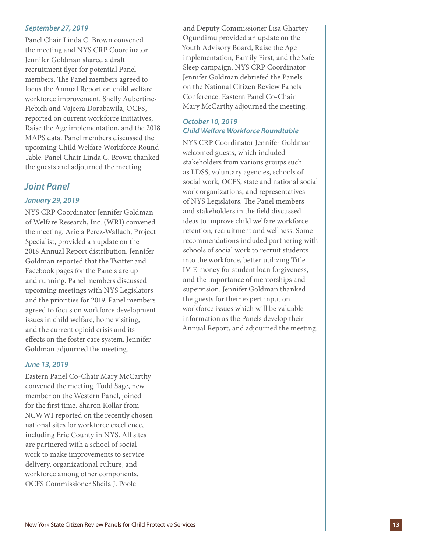#### *September 27, 2019*

Panel Chair Linda C. Brown convened the meeting and NYS CRP Coordinator Jennifer Goldman shared a draft recruitment flyer for potential Panel members. The Panel members agreed to focus the Annual Report on child welfare workforce improvement. Shelly Aubertine-Fiebich and Vajeera Dorabawila, OCFS, reported on current workforce initiatives, Raise the Age implementation, and the 2018 MAPS data. Panel members discussed the upcoming Child Welfare Workforce Round Table. Panel Chair Linda C. Brown thanked the guests and adjourned the meeting.

#### *Joint Panel*

#### *January 29, 2019*

NYS CRP Coordinator Jennifer Goldman of Welfare Research, Inc. (WRI) convened the meeting. Ariela Perez-Wallach, Project Specialist, provided an update on the 2018 Annual Report distribution. Jennifer Goldman reported that the Twitter and Facebook pages for the Panels are up and running. Panel members discussed upcoming meetings with NYS Legislators and the priorities for 2019. Panel members agreed to focus on workforce development issues in child welfare, home visiting, and the current opioid crisis and its effects on the foster care system. Jennifer Goldman adjourned the meeting.

#### *June 13, 2019*

Eastern Panel Co-Chair Mary McCarthy convened the meeting. Todd Sage, new member on the Western Panel, joined for the first time. Sharon Kollar from NCWWI reported on the recently chosen national sites for workforce excellence, including Erie County in NYS. All sites are partnered with a school of social work to make improvements to service delivery, organizational culture, and workforce among other components. OCFS Commissioner Sheila J. Poole

and Deputy Commissioner Lisa Ghartey Ogundimu provided an update on the Youth Advisory Board, Raise the Age implementation, Family First, and the Safe Sleep campaign. NYS CRP Coordinator Jennifer Goldman debriefed the Panels on the National Citizen Review Panels Conference. Eastern Panel Co-Chair Mary McCarthy adjourned the meeting.

#### *October 10, 2019 Child Welfare Workforce Roundtable*

NYS CRP Coordinator Jennifer Goldman welcomed guests, which included stakeholders from various groups such as LDSS, voluntary agencies, schools of social work, OCFS, state and national social work organizations, and representatives of NYS Legislators. The Panel members and stakeholders in the field discussed ideas to improve child welfare workforce retention, recruitment and wellness. Some recommendations included partnering with schools of social work to recruit students into the workforce, better utilizing Title IV-E money for student loan forgiveness, and the importance of mentorships and supervision. Jennifer Goldman thanked the guests for their expert input on workforce issues which will be valuable information as the Panels develop their Annual Report, and adjourned the meeting.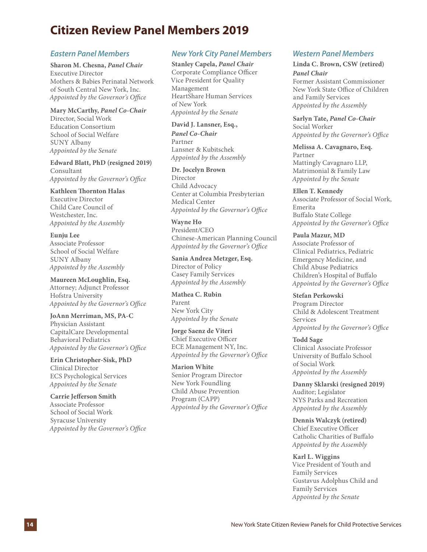### **Citizen Review Panel Members 2019**

#### *Eastern Panel Members*

**Sharon M. Chesna,** *Panel Chair* Executive Director Mothers & Babies Perinatal Network of South Central New York, Inc. *Appointed by the Governor's Office*

#### **Mary McCarthy,** *Panel Co-Chair*

Director, Social Work Education Consortium School of Social Welfare SUNY Albany *Appointed by the Senate*

**Edward Blatt, PhD (resigned 2019)** Consultant *Appointed by the Governor's Office*

**Kathleen Thornton Halas** Executive Director Child Care Council of Westchester, Inc. *Appointed by the Assembly*

**Eunju Lee** Associate Professor School of Social Welfare SUNY Albany *Appointed by the Assembly*

**Maureen McLoughlin, Esq.** Attorney; Adjunct Professor Hofstra University *Appointed by the Governor's Office*

**JoAnn Merriman, MS, PA-C** Physician Assistant CapitalCare Developmental Behavioral Pediatrics *Appointed by the Governor's Office*

**Erin Christopher-Sisk, PhD** Clinical Director ECS Psychological Services *Appointed by the Senate*

**Carrie Jefferson Smith** Associate Professor School of Social Work Syracuse University *Appointed by the Governor's Office*

#### *New York City Panel Members*

**Stanley Capela,** *Panel Chair* Corporate Compliance Officer Vice President for Quality Management HeartShare Human Services of New York *Appointed by the Senate*

**David J. Lansner, Esq.,**  *Panel Co-Chair* Partner Lansner & Kubitschek *Appointed by the Assembly*

**Dr. Jocelyn Brown** Director Child Advocacy Center at Columbia Presbyterian Medical Center *Appointed by the Governor's Office* 

**Wayne Ho** President/CEO Chinese-American Planning Council *Appointed by the Governor's Office*

**Sania Andrea Metzger, Esq.** Director of Policy Casey Family Services *Appointed by the Assembly*

**Mathea C. Rubin** Parent New York City *Appointed by the Senate*

**Jorge Saenz de Viteri** Chief Executive Officer ECE Management NY, Inc. *Appointed by the Governor's Office* 

**Marion White** Senior Program Director New York Foundling Child Abuse Prevention Program (CAPP) *Appointed by the Governor's Office*

#### *Western Panel Members*

**Linda C. Brown, CSW (retired)**

*Panel Chair* Former Assistant Commissioner New York State Office of Children and Family Services *Appointed by the Assembly*

**Sarlyn Tate,** *Panel Co-Chair* Social Worker *Appointed by the Governor's Office*

**Melissa A. Cavagnaro, Esq.** Partner Mattingly Cavagnaro LLP, Matrimonial & Family Law *Appointed by the Senate*

**Ellen T. Kennedy**  Associate Professor of Social Work, Emerita Buffalo State College *Appointed by the Governor's Office*

**Paula Mazur, MD** Associate Professor of Clinical Pediatrics, Pediatric Emergency Medicine, and Child Abuse Pediatrics Children's Hospital of Buffalo *Appointed by the Governor's Office*

**Stefan Perkowski** Program Director Child & Adolescent Treatment Services *Appointed by the Governor's Office*

**Todd Sage**  Clinical Associate Professor University of Buffalo School of Social Work *Appointed by the Assembly*

**Danny Sklarski (resigned 2019)** Auditor; Legislator NYS Parks and Recreation *Appointed by the Assembly*

**Dennis Walczyk (retired)** Chief Executive Officer Catholic Charities of Buffalo *Appointed by the Assembly*

**Karl L. Wiggins** Vice President of Youth and Family Services Gustavus Adolphus Child and Family Services *Appointed by the Senate*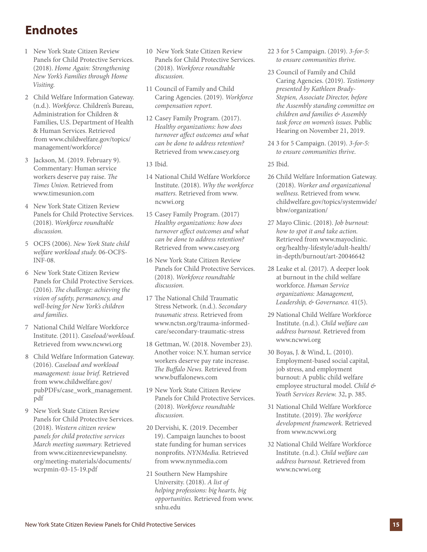### **Endnotes**

- 1 New York State Citizen Review Panels for Child Protective Services. (2018). *Home Again: Strengthening New York's Families through Home Visiting.*
- 2 Child Welfare Information Gateway. (n.d.). *Workforce.* Children's Bureau, Administration for Children & Families, U.S. Department of Health & Human Services. Retrieved from www.childwelfare.gov/topics/ management/workforce/
- 3 Jackson, M. (2019. February 9). Commentary: Human service workers deserve pay raise. *The Times Union.* Retrieved from www.timesunion.com
- 4 New York State Citizen Review Panels for Child Protective Services. (2018). *Workforce roundtable discussion.*
- 5 OCFS (2006). *New York State child welfare workload study.* 06-OCFS-INF-08.
- 6 New York State Citizen Review Panels for Child Protective Services. (2016). *The challenge: achieving the vision of safety, permanency, and well-being for New York's children and families.*
- 7 National Child Welfare Workforce Institute. (2011). *Caseload/workload.* Retrieved from www.ncwwi.org
- 8 Child Welfare Information Gateway. (2016). *Caseload and workload management: issue brief.* Retrieved from www.childwelfare.gov/ pubPDFs/case\_work\_management. pdf
- 9 New York State Citizen Review Panels for Child Protective Services. (2018). *Western citizen review panels for child protective services March meeting summary.* Retrieved from www.citizenreviewpanelsny. org/meeting-materials/documents/ wcrpmin-03-15-19.pdf
- 10 New York State Citizen Review Panels for Child Protective Services. (2018). *Workforce roundtable discussion.*
- 11 Council of Family and Child Caring Agencies. (2019). *Workforce compensation report.*
- 12 Casey Family Program. (2017). *Healthy organizations: how does turnover affect outcomes and what can be done to address retention?* Retrieved from www.casey.org
- 13 Ibid.
- 14 National Child Welfare Workforce Institute. (2018). *Why the workforce matters.* Retrieved from www. ncwwi.org
- 15 Casey Family Program. (2017) *Healthy organizations: how does turnover affect outcomes and what can be done to address retention?* Retrieved from www.casey.org
- 16 New York State Citizen Review Panels for Child Protective Services. (2018). *Workforce roundtable discussion.*
- 17 The National Child Traumatic Stress Network. (n.d.). *Secondary traumatic stress.* Retrieved from www.nctsn.org/trauma-informedcare/secondary-traumatic-stress
- 18 Gettman, W. (2018. November 23). Another voice: N.Y. human service workers deserve pay rate increase. *The Buffalo News.* Retrieved from www.buffalonews.com
- 19 New York State Citizen Review Panels for Child Protective Services. (2018). *Workforce roundtable discussion.*
- 20 Dervishi, K. (2019. December 19). Campaign launches to boost state funding for human services nonprofits. *NYNMedia.* Retrieved from www.nynmedia.com
- 21 Southern New Hampshire University. (2018). *A list of helping professions: big hearts, big opportunities.* Retrieved from www. snhu.edu
- 22 3 for 5 Campaign. (2019). *3-for-5: to ensure communities thrive.*
- 23 Council of Family and Child Caring Agencies. (2019). *Testimony presented by Kathleen Brady-Stepien, Associate Director, before the Assembly standing committee on children and families & Assembly task force on women's issues.* Public Hearing on November 21, 2019.
- 24 3 for 5 Campaign. (2019). *3-for-5: to ensure communities thrive*.

#### 25 Ibid.

- 26 Child Welfare Information Gateway. (2018). *Worker and organizational wellness.* Retrieved from www. childwelfare.gov/topics/systemwide/ bhw/organization/
- 27 Mayo Clinic. (2018). *Job burnout: how to spot it and take action.*  Retrieved from www.mayoclinic. org/healthy-lifestyle/adult-health/ in-depth/burnout/art-20046642
- 28 Leake et al. (2017). A deeper look at burnout in the child welfare workforce. *Human Service organizations: Management, Leadership, & Governance.* 41(5).
- 29 National Child Welfare Workforce Institute. (n.d.). *Child welfare can address burnout.* Retrieved from www.ncwwi.org
- 30 Boyas, J. & Wind, L. (2010). Employment-based social capital, job stress, and employment burnout: A public child welfare employee structural model. *Child & Youth Services Review.* 32, p. 385.
- 31 National Child Welfare Workforce Institute. (2019). *The workforce development framework.* Retrieved from www.ncwwi.org
- 32 National Child Welfare Workforce Institute. (n.d.). *Child welfare can address burnout.* Retrieved from www.ncwwi.org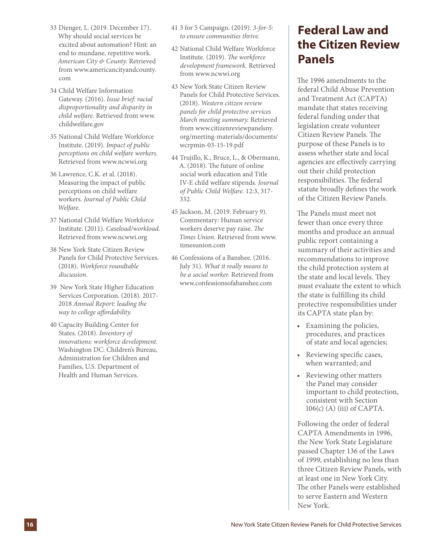- 33 Dienger, L. (2019. December 17). Why should social services be excited about automation? Hint: an end to mundane, repetitive work. *American City & County.* Retrieved from www.americancityandcounty. com
- 34 Child Welfare Information Gateway. (2016). *Issue brief: racial disproportionality and disparity in child welfare.* Retrieved from www. childwelfare.gov
- 35 National Child Welfare Workforce Institute. (2019). *Impact of public perceptions on child welfare workers.*  Retrieved from www.ncwwi.org
- 36 Lawrence, C.K. et al. (2018). Measuring the impact of public perceptions on child welfare workers. *Journal of Public Child Welfare.*
- 37 National Child Welfare Workforce Institute. (2011). *Caseload/workload.* Retrieved from www.ncwwi.org
- 38 New York State Citizen Review Panels for Child Protective Services. (2018). *Workforce roundtable discussion.*
- 39 New York State Higher Education Services Corporation. (2018). 2017- 2018 *Annual Report: leading the way to college affordability.*
- 40 Capacity Building Center for States. (2018). *Inventory of innovations: workforce development.*  Washington DC: Children's Bureau, Administration for Children and Families, U.S. Department of Health and Human Services.
- 41 3 for 5 Campaign. (2019). *3-for-5: to ensure communities thrive.*
- 42 National Child Welfare Workforce Institute. (2019). *The workforce development framework.* Retrieved from www.ncwwi.org
- 43 New York State Citizen Review Panels for Child Protective Services. (2018). *Western citizen review panels for child protective services March meeting summary.* Retrieved from www.citizenreviewpanelsny. org/meeting-materials/documents/ wcrpmin-03-15-19.pdf
- 44 Trujillo, K., Bruce, L., & Obermann, A. (2018). The future of online social work education and Title IV-E child welfare stipends. *Journal of Public Child Welfare.* 12:3, 317- 332.
- 45 Jackson, M. (2019. February 9). Commentary: Human service workers deserve pay raise. *The Times Union.* Retrieved from www. timesunion.com
- 46 Confessions of a Banshee. (2016. July 31). *What it really means to be a social worker.* Retrieved from www.confessionsofabanshee.com

### **Federal Law and the Citizen Review Panels**

The 1996 amendments to the federal Child Abuse Prevention and Treatment Act (CAPTA) mandate that states receiving federal funding under that legislation create volunteer Citizen Review Panels. The purpose of these Panels is to assess whether state and local agencies are effectively carrying out their child protection responsibilities. The federal statute broadly defines the work of the Citizen Review Panels.

The Panels must meet not fewer than once every three months and produce an annual public report containing a summary of their activities and recommendations to improve the child protection system at the state and local levels. They must evaluate the extent to which the state is fulfilling its child protective responsibilities under its CAPTA state plan by:

- Examining the policies, procedures, and practices of state and local agencies;
- Reviewing specific cases, when warranted; and
- Reviewing other matters the Panel may consider important to child protection, consistent with Section 106(c) (A) (iii) of CAPTA.

Following the order of federal CAPTA Amendments in 1996, the New York State Legislature passed Chapter 136 of the Laws of 1999, establishing no less than three Citizen Review Panels, with at least one in New York City. The other Panels were established to serve Eastern and Western New York.